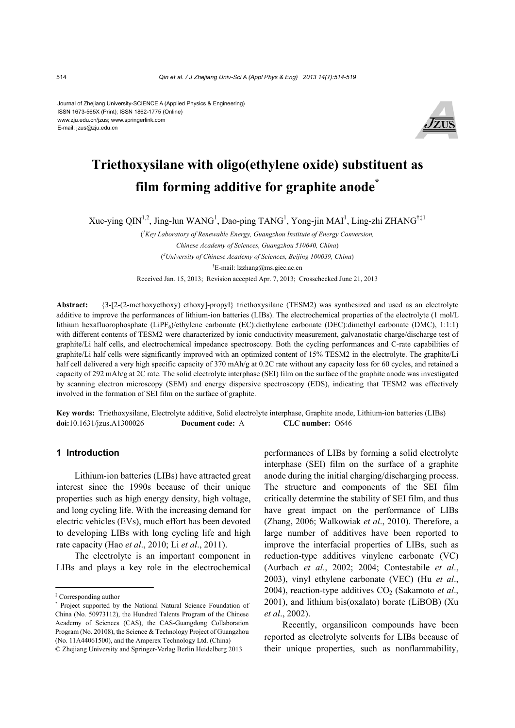Journal of Zhejiang University-SCIENCE A (Applied Physics & Engineering) ISSN 1673-565X (Print); ISSN 1862-1775 (Online) www.zju.edu.cn/jzus; www.springerlink.com E-mail: jzus@zju.edu.cn



# **Triethoxysilane with oligo(ethylene oxide) substituent as film forming additive for graphite anode\***

Xue-ying QIN<sup>1,2</sup>, Jing-lun WANG<sup>1</sup>, Dao-ping TANG<sup>1</sup>, Yong-jin MAI<sup>1</sup>, Ling-zhi ZHANG<sup>†‡1</sup>

( *1 Key Laboratory of Renewable Energy, Guangzhou Institute of Energy Conversion, Chinese Academy of Sciences, Guangzhou 510640, China*) ( *2 University of Chinese Academy of Sciences, Beijing 100039, China*) † E-mail: lzzhang@ms.giec.ac.cn

Received Jan. 15, 2013; Revision accepted Apr. 7, 2013; Crosschecked June 21, 2013

**Abstract:** {3-[2-(2-methoxyethoxy) ethoxy]-propyl} triethoxysilane (TESM2) was synthesized and used as an electrolyte additive to improve the performances of lithium-ion batteries (LIBs). The electrochemical properties of the electrolyte (1 mol/L lithium hexafluorophosphate (LiPF<sub>6</sub>)/ethylene carbonate (EC):diethylene carbonate (DEC):dimethyl carbonate (DMC), 1:1:1) with different contents of TESM2 were characterized by ionic conductivity measurement, galvanostatic charge/discharge test of graphite/Li half cells, and electrochemical impedance spectroscopy. Both the cycling performances and C-rate capabilities of graphite/Li half cells were significantly improved with an optimized content of 15% TESM2 in the electrolyte. The graphite/Li half cell delivered a very high specific capacity of 370 mAh/g at 0.2C rate without any capacity loss for 60 cycles, and retained a capacity of 292 mAh/g at 2C rate. The solid electrolyte interphase (SEI) film on the surface of the graphite anode was investigated by scanning electron microscopy (SEM) and energy dispersive spectroscopy (EDS), indicating that TESM2 was effectively involved in the formation of SEI film on the surface of graphite.

**Key words:** Triethoxysilane, Electrolyte additive, Solid electrolyte interphase, Graphite anode, Lithium-ion batteries (LIBs) **doi:**10.1631/jzus.A1300026 **Document code:** A **CLC number:** O646

#### **1 Introduction**

Lithium-ion batteries (LIBs) have attracted great interest since the 1990s because of their unique properties such as high energy density, high voltage, and long cycling life. With the increasing demand for electric vehicles (EVs), much effort has been devoted to developing LIBs with long cycling life and high rate capacity (Hao *et al*., 2010; Li *et al*., 2011).

The electrolyte is an important component in LIBs and plays a key role in the electrochemical performances of LIBs by forming a solid electrolyte interphase (SEI) film on the surface of a graphite anode during the initial charging/discharging process. The structure and components of the SEI film critically determine the stability of SEI film, and thus have great impact on the performance of LIBs (Zhang, 2006; Walkowiak *et al*., 2010). Therefore, a large number of additives have been reported to improve the interfacial properties of LIBs, such as reduction-type additives vinylene carbonate (VC) (Aurbach *et al*., 2002; 2004; Contestabile *et al*., 2003), vinyl ethylene carbonate (VEC) (Hu *et al*., 2004), reaction-type additives CO<sub>2</sub> (Sakamoto *et al.*, 2001), and lithium bis(oxalato) borate (LiBOB) (Xu *et al*., 2002).

Recently, organsilicon compounds have been reported as electrolyte solvents for LIBs because of their unique properties, such as nonflammability,

<sup>‡</sup> Corresponding author

<sup>\*</sup> Project supported by the National Natural Science Foundation of China (No. 50973112), the Hundred Talents Program of the Chinese Academy of Sciences (CAS), the CAS-Guangdong Collaboration Program (No. 20108), the Science & Technology Project of Guangzhou (No. 11A44061500), and the Amperex Technology Ltd. (China) © Zhejiang University and Springer-Verlag Berlin Heidelberg 2013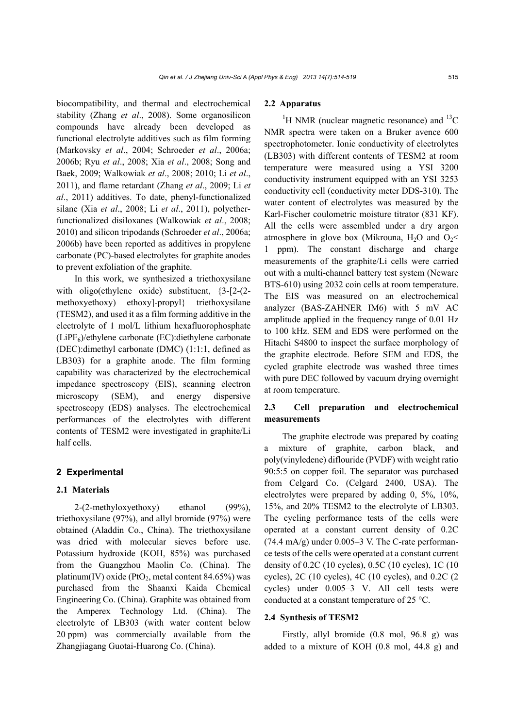biocompatibility, and thermal and electrochemical stability (Zhang *et al*., 2008). Some organosilicon compounds have already been developed as functional electrolyte additives such as film forming (Markovsky *et al*., 2004; Schroeder *et al*., 2006a; 2006b; Ryu *et al*., 2008; Xia *et al*., 2008; Song and Baek, 2009; Walkowiak *et al*., 2008; 2010; Li *et al*., 2011), and flame retardant (Zhang *et al*., 2009; Li *et al*., 2011) additives. To date, phenyl-functionalized silane (Xia *et al*., 2008; Li *et al*., 2011), polyetherfunctionalized disiloxanes (Walkowiak *et al*., 2008; 2010) and silicon tripodands (Schroeder *et al*., 2006a; 2006b) have been reported as additives in propylene carbonate (PC)-based electrolytes for graphite anodes to prevent exfoliation of the graphite.

In this work, we synthesized a triethoxysilane with oligo(ethylene oxide) substituent,  $\{3-[2-(2-1)]\}$ methoxyethoxy) ethoxy]-propyl} triethoxysilane (TESM2), and used it as a film forming additive in the electrolyte of 1 mol/L lithium hexafluorophosphate  $(LiPF<sub>6</sub>)$ /ethylene carbonate (EC):diethylene carbonate (DEC):dimethyl carbonate (DMC) (1:1:1, defined as LB303) for a graphite anode. The film forming capability was characterized by the electrochemical impedance spectroscopy (EIS), scanning electron microscopy (SEM), and energy dispersive spectroscopy (EDS) analyses. The electrochemical performances of the electrolytes with different contents of TESM2 were investigated in graphite/Li half cells.

#### **2 Experimental**

#### **2.1 Materials**

2-(2-methyloxyethoxy) ethanol (99%), triethoxysilane (97%), and allyl bromide (97%) were obtained (Aladdin Co., China). The triethoxysilane was dried with molecular sieves before use. Potassium hydroxide (KOH, 85%) was purchased from the Guangzhou Maolin Co. (China). The platinum(IV) oxide (PtO<sub>2</sub>, metal content 84.65%) was purchased from the Shaanxi Kaida Chemical Engineering Co. (China). Graphite was obtained from the Amperex Technology Ltd. (China). The electrolyte of LB303 (with water content below 20 ppm) was commercially available from the Zhangjiagang Guotai-Huarong Co. (China).

#### **2.2 Apparatus**

<sup>1</sup>H NMR (nuclear magnetic resonance) and <sup>13</sup>C NMR spectra were taken on a Bruker avence 600 spectrophotometer. Ionic conductivity of electrolytes (LB303) with different contents of TESM2 at room temperature were measured using a YSI 3200 conductivity instrument equipped with an YSI 3253 conductivity cell (conductivity meter DDS-310). The water content of electrolytes was measured by the Karl-Fischer coulometric moisture titrator (831 KF). All the cells were assembled under a dry argon atmosphere in glove box (Mikrouna,  $H_2O$  and  $O_2<$ 1 ppm). The constant discharge and charge measurements of the graphite/Li cells were carried out with a multi-channel battery test system (Neware BTS-610) using 2032 coin cells at room temperature. The EIS was measured on an electrochemical analyzer (BAS-ZAHNER IM6) with 5 mV AC amplitude applied in the frequency range of 0.01 Hz to 100 kHz. SEM and EDS were performed on the Hitachi S4800 to inspect the surface morphology of the graphite electrode. Before SEM and EDS, the cycled graphite electrode was washed three times with pure DEC followed by vacuum drying overnight at room temperature.

## **2.3 Cell preparation and electrochemical measurements**

The graphite electrode was prepared by coating a mixture of graphite, carbon black, and poly(vinyledene) diflouride (PVDF) with weight ratio 90:5:5 on copper foil. The separator was purchased from Celgard Co. (Celgard 2400, USA). The electrolytes were prepared by adding 0, 5%, 10%, 15%, and 20% TESM2 to the electrolyte of LB303. The cycling performance tests of the cells were operated at a constant current density of 0.2C  $(74.4 \text{ mA/g})$  under 0.005–3 V. The C-rate performance tests of the cells were operated at a constant current density of 0.2C (10 cycles), 0.5C (10 cycles), 1C (10 cycles), 2C (10 cycles), 4C (10 cycles), and 0.2C (2 cycles) under 0.005–3 V. All cell tests were conducted at a constant temperature of 25 °C.

#### **2.4 Synthesis of TESM2**

Firstly, allyl bromide (0.8 mol, 96.8 g) was added to a mixture of KOH (0.8 mol, 44.8 g) and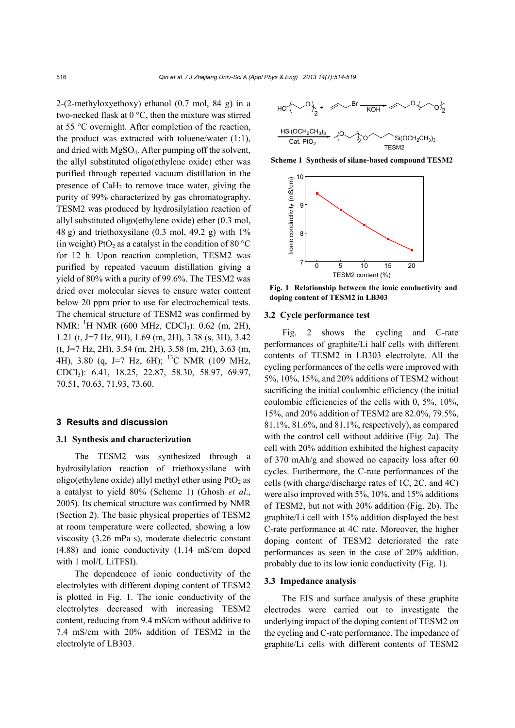2-(2-methyloxyethoxy) ethanol (0.7 mol, 84 g) in a two-necked flask at 0 °C, then the mixture was stirred at 55 °C overnight. After completion of the reaction, the product was extracted with toluene/water  $(1:1)$ , and dried with MgSO4. After pumping off the solvent, the allyl substituted oligo(ethylene oxide) ether was purified through repeated vacuum distillation in the presence of  $CaH<sub>2</sub>$  to remove trace water, giving the purity of 99% characterized by gas chromatography. TESM2 was produced by hydrosilylation reaction of allyl substituted oligo(ethylene oxide) ether (0.3 mol, 48 g) and triethoxysilane  $(0.3 \text{ mol}, 49.2 \text{ g})$  with  $1\%$ (in weight) PtO<sub>2</sub> as a catalyst in the condition of 80 °C for 12 h. Upon reaction completion, TESM2 was purified by repeated vacuum distillation giving a yield of 80% with a purity of 99.6%. The TESM2 was dried over molecular sieves to ensure water content below 20 ppm prior to use for electrochemical tests. The chemical structure of TESM2 was confirmed by NMR: <sup>1</sup>H NMR (600 MHz, CDCl<sub>3</sub>): 0.62 (m, 2H), 1.21 (t, J=7 Hz, 9H), 1.69 (m, 2H), 3.38 (s, 3H), 3.42  $(t, J=7 Hz, 2H)$ , 3.54 (m, 2H), 3.58 (m, 2H), 3.63 (m, 4H), 3.80 (q, J=7 Hz, 6H); <sup>13</sup>C NMR (109 MHz, CDCl3): 6.41, 18.25, 22.87, 58.30, 58.97, 69.97, 70.51, 70.63, 71.93, 73.60.

#### **3 Results and discussion**

#### **3.1 Synthesis and characterization**

The TESM2 was synthesized through a hydrosilylation reaction of triethoxysilane with oligo(ethylene oxide) allyl methyl ether using  $PtO<sub>2</sub>$  as a catalyst to yield 80% (Scheme 1) (Ghosh *et al*., 2005). Its chemical structure was confirmed by NMR (Section 2). The basic physical properties of TESM2 at room temperature were collected, showing a low viscosity (3.26 mPa·s), moderate dielectric constant (4.88) and ionic conductivity (1.14 mS/cm doped with 1 mol/L LiTFSI).

The dependence of ionic conductivity of the electrolytes with different doping content of TESM2 is plotted in Fig. 1. The ionic conductivity of the electrolytes decreased with increasing TESM2 content, reducing from 9.4 mS/cm without additive to 7.4 mS/cm with 20% addition of TESM2 in the electrolyte of LB303.



**Scheme 1 Synthesis of silane-based compound TESM2**



**Fig. 1 Relationship between the ionic conductivity and doping content of TESM2 in LB303** 

#### **3.2 Cycle performance test**

Fig. 2 shows the cycling and C-rate performances of graphite/Li half cells with different contents of TESM2 in LB303 electrolyte. All the cycling performances of the cells were improved with 5%, 10%, 15%, and 20% additions of TESM2 without sacrificing the initial coulombic efficiency (the initial coulombic efficiencies of the cells with 0, 5%, 10%, 15%, and 20% addition of TESM2 are 82.0%, 79.5%, 81.1%, 81.6%, and 81.1%, respectively), as compared with the control cell without additive (Fig. 2a). The cell with 20% addition exhibited the highest capacity of 370 mAh/g and showed no capacity loss after 60 cycles. Furthermore, the C-rate performances of the cells (with charge/discharge rates of 1C, 2C, and 4C) were also improved with 5%, 10%, and 15% additions of TESM2, but not with 20% addition (Fig. 2b). The graphite/Li cell with 15% addition displayed the best C-rate performance at 4C rate. Moreover, the higher doping content of TESM2 deteriorated the rate performances as seen in the case of 20% addition, probably due to its low ionic conductivity (Fig. 1).

#### **3.3 Impedance analysis**

The EIS and surface analysis of these graphite electrodes were carried out to investigate the underlying impact of the doping content of TESM2 on the cycling and C-rate performance. The impedance of graphite/Li cells with different contents of TESM2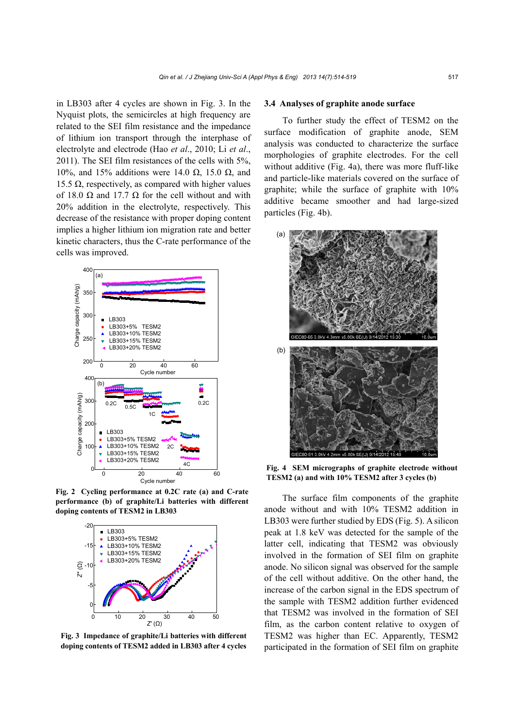in LB303 after 4 cycles are shown in Fig. 3. In the Nyquist plots, the semicircles at high frequency are related to the SEI film resistance and the impedance of lithium ion transport through the interphase of electrolyte and electrode (Hao *et al*., 2010; Li *et al*., 2011). The SEI film resistances of the cells with 5%, 10%, and 15% additions were 14.0  $\Omega$ , 15.0  $\Omega$ , and 15.5 Ω, respectively, as compared with higher values of 18.0  $\Omega$  and 17.7  $\Omega$  for the cell without and with 20% addition in the electrolyte, respectively. This decrease of the resistance with proper doping content implies a higher lithium ion migration rate and better kinetic characters, thus the C-rate performance of the cells was improved.



**Fig. 2 Cycling performance at 0.2C rate (a) and C-rate performance (b) of graphite/Li batteries with different doping contents of TESM2 in LB303** 



**Fig. 3 Impedance of graphite/Li batteries with different doping contents of TESM2 added in LB303 after 4 cycles**

#### **3.4 Analyses of graphite anode surface**

To further study the effect of TESM2 on the surface modification of graphite anode, SEM analysis was conducted to characterize the surface morphologies of graphite electrodes. For the cell without additive (Fig. 4a), there was more fluff-like and particle-like materials covered on the surface of graphite; while the surface of graphite with 10% additive became smoother and had large-sized particles (Fig. 4b).



**Fig. 4 SEM micrographs of graphite electrode without TESM2 (a) and with 10% TESM2 after 3 cycles (b)** 

The surface film components of the graphite anode without and with 10% TESM2 addition in LB303 were further studied by EDS (Fig. 5). A silicon peak at 1.8 keV was detected for the sample of the latter cell, indicating that TESM2 was obviously involved in the formation of SEI film on graphite anode. No silicon signal was observed for the sample of the cell without additive. On the other hand, the increase of the carbon signal in the EDS spectrum of the sample with TESM2 addition further evidenced that TESM2 was involved in the formation of SEI film, as the carbon content relative to oxygen of TESM2 was higher than EC. Apparently, TESM2 participated in the formation of SEI film on graphite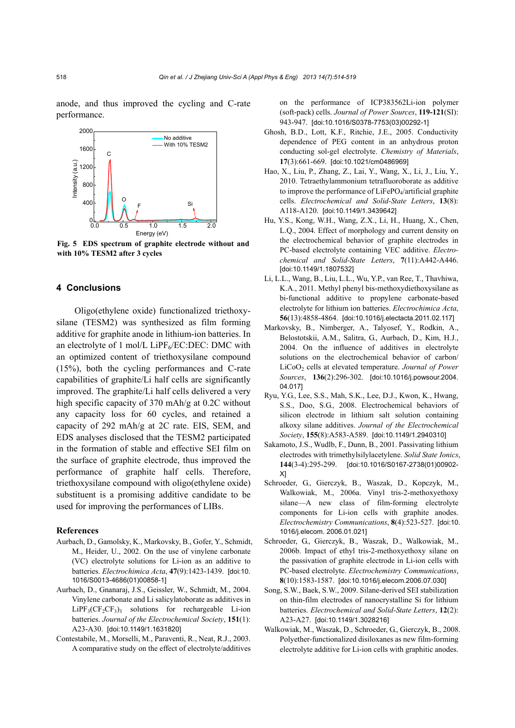anode, and thus improved the cycling and C-rate performance.



**Fig. 5 EDS spectrum of graphite electrode without and with 10% TESM2 after 3 cycles** 

### **4 Conclusions**

Oligo(ethylene oxide) functionalized triethoxysilane (TESM2) was synthesized as film forming additive for graphite anode in lithium-ion batteries. In an electrolyte of 1 mol/L LiPF $_6$ /EC:DEC: DMC with an optimized content of triethoxysilane compound (15%), both the cycling performances and C-rate capabilities of graphite/Li half cells are significantly improved. The graphite/Li half cells delivered a very high specific capacity of 370 mAh/g at 0.2C without any capacity loss for 60 cycles, and retained a capacity of 292 mAh/g at 2C rate. EIS, SEM, and EDS analyses disclosed that the TESM2 participated in the formation of stable and effective SEI film on the surface of graphite electrode, thus improved the performance of graphite half cells. Therefore, triethoxysilane compound with oligo(ethylene oxide) substituent is a promising additive candidate to be used for improving the performances of LIBs.

#### **References**

- Aurbach, D., Gamolsky, K., Markovsky, B., Gofer, Y., Schmidt, M., Heider, U., 2002. On the use of vinylene carbonate (VC) electrolyte solutions for Li-ion as an additive to batteries. *Electrochimica Acta*, **47**(9):1423-1439. [doi:10. 1016/S0013-4686(01)00858-1]
- Aurbach, D., Gnanaraj, J.S., Geissler, W., Schmidt, M., 2004. Vinylene carbonate and Li salicylatoborate as additives in  $LIPF<sub>3</sub>(CF<sub>2</sub>CF<sub>3</sub>)$ <sub>3</sub> solutions for rechargeable Li-ion batteries. *Journal of the Electrochemical Society*, **151**(1): A23-A30. [doi:10.1149/1.1631820]
- Contestabile, M., Morselli, M., Paraventi, R., Neat, R.J., 2003. A comparative study on the effect of electrolyte/additives

on the performance of ICP383562Li-ion polymer (soft-pack) cells. *Journal of Power Sources*, **119-121**(SI): 943-947. [doi:10.1016/S0378-7753(03)00292-1]

- Ghosh, B.D., Lott, K.F., Ritchie, J.E., 2005. Conductivity dependence of PEG content in an anhydrous proton conducting sol-gel electrolyte. *Chemistry of Materials*, **17**(3):661-669. [doi:10.1021/cm0486969]
- Hao, X., Liu, P., Zhang, Z., Lai, Y., Wang, X., Li, J., Liu, Y., 2010. Tetraethylammonium tetrafluoroborate as additive to improve the performance of  $LiFePO<sub>4</sub>/artificial graphite$ cells. *Electrochemical and Solid-State Letters*, **13**(8): A118-A120. [doi:10.1149/1.3439642]
- Hu, Y.S., Kong, W.H., Wang, Z.X., Li, H., Huang, X., Chen, L.Q., 2004. Effect of morphology and current density on the electrochemical behavior of graphite electrodes in PC-based electrolyte containing VEC additive. *Electrochemical and Solid-State Letters*, **7**(11):A442-A446. [doi:10.1149/1.1807532]
- Li, L.L., Wang, B., Liu, L.L., Wu, Y.P., van Ree, T., Thavhiwa, K.A., 2011. Methyl phenyl bis-methoxydiethoxysilane as bi-functional additive to propylene carbonate-based electrolyte for lithium ion batteries. *Electrochimica Acta*, **56**(13):4858-4864. [doi:10.1016/j.electacta.2011.02.117]
- Markovsky, B., Nimberger, A., Talyosef, Y., Rodkin, A., Belostotskii, A.M., Salitra, G., Aurbach, D., Kim, H.J., 2004. On the influence of additives in electrolyte solutions on the electrochemical behavior of carbon/ LiCoO2 cells at elevated temperature. *Journal of Power Sources*, **136**(2):296-302. [doi:10.1016/j.powsour.2004. 04.017]
- Ryu, Y.G., Lee, S.S., Mah, S.K., Lee, D.J., Kwon, K., Hwang, S.S., Doo, S.G., 2008. Electrochemical behaviors of silicon electrode in lithium salt solution containing alkoxy silane additives. *Journal of the Electrochemical Society*, **155**(8):A583-A589. [doi:10.1149/1.2940310]
- Sakamoto, J.S., Wudlb, F., Dunn, B., 2001. Passivating lithium electrodes with trimethylsilylacetylene. *Solid State Ionics*, **144**(3-4):295-299. [doi:10.1016/S0167-2738(01)00902- X]
- Schroeder, G., Gierczyk, B., Waszak, D., Kopczyk, M., Walkowiak, M., 2006a. Vinyl tris-2-methoxyethoxy silane—A new class of film-forming electrolyte components for Li-ion cells with graphite anodes. *Electrochemistry Communications*, **8**(4):523-527. [doi:10. 1016/j.elecom. 2006.01.021]
- Schroeder, G., Gierczyk, B., Waszak, D., Walkowiak, M., 2006b. Impact of ethyl tris-2-methoxyethoxy silane on the passivation of graphite electrode in Li-ion cells with PC-based electrolyte. *Electrochemistry Communications*, **8**(10):1583-1587. [doi:10.1016/j.elecom.2006.07.030]
- Song, S.W., Baek, S.W., 2009. Silane-derived SEI stabilization on thin-film electrodes of nanocrystalline Si for lithium batteries. *Electrochemical and Solid-State Letters*, **12**(2): A23-A27. [doi:10.1149/1.3028216]
- Walkowiak, M., Waszak, D., Schroeder, G., Gierczyk, B., 2008. Polyether-functionalized disiloxanes as new film-forming electrolyte additive for Li-ion cells with graphitic anodes.